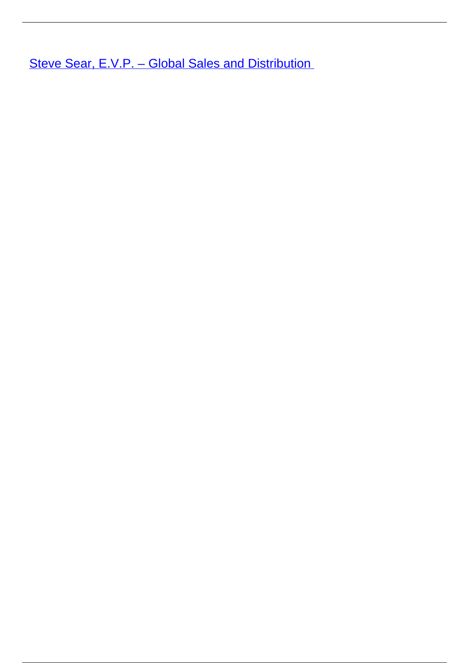**Steve Sear, E.V.P. - Global Sales and Distribution**